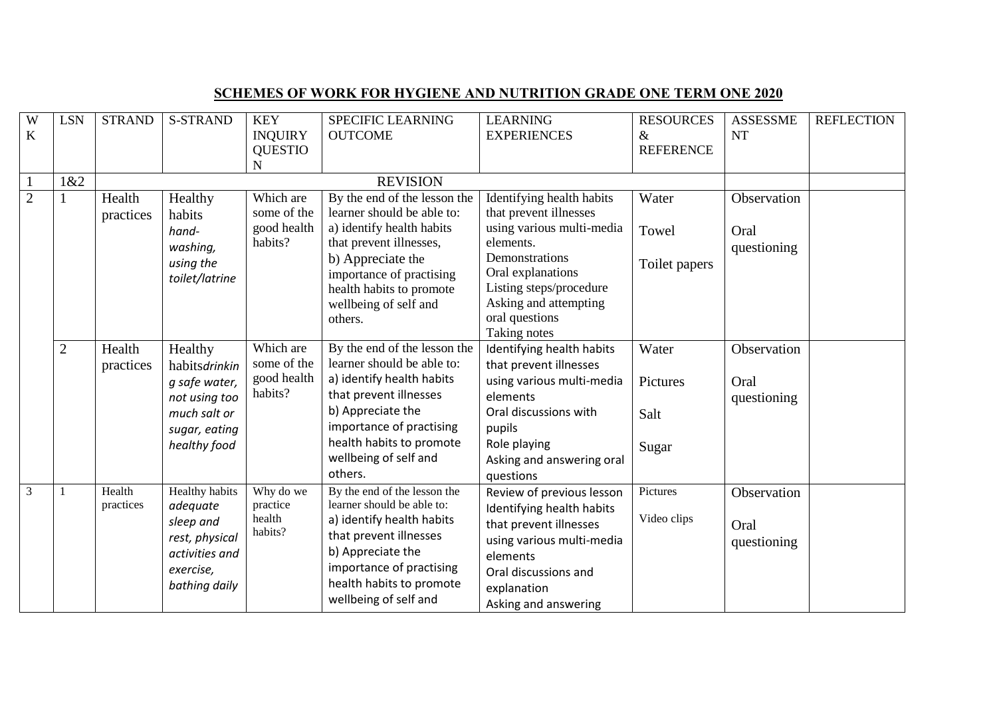| W<br>$\mathbf K$ | <b>LSN</b>     | <b>STRAND</b>       | <b>S-STRAND</b>                                                                                                  | <b>KEY</b><br><b>INQUIRY</b><br><b>QUESTIO</b><br>N | <b>SPECIFIC LEARNING</b><br><b>OUTCOME</b>                                                                                                                                                                                          | <b>LEARNING</b><br><b>EXPERIENCES</b>                                                                                                                                                                                      | <b>RESOURCES</b><br>$\&$<br><b>REFERENCE</b> | <b>ASSESSME</b><br><b>NT</b>       | <b>REFLECTION</b> |
|------------------|----------------|---------------------|------------------------------------------------------------------------------------------------------------------|-----------------------------------------------------|-------------------------------------------------------------------------------------------------------------------------------------------------------------------------------------------------------------------------------------|----------------------------------------------------------------------------------------------------------------------------------------------------------------------------------------------------------------------------|----------------------------------------------|------------------------------------|-------------------|
| $\mathbf{1}$     | 1&2            |                     |                                                                                                                  |                                                     | <b>REVISION</b>                                                                                                                                                                                                                     |                                                                                                                                                                                                                            |                                              |                                    |                   |
| $\overline{2}$   |                | Health<br>practices | Healthy<br>habits<br>hand-<br>washing,<br>using the<br>toilet/latrine                                            | Which are<br>some of the<br>good health<br>habits?  | By the end of the lesson the<br>learner should be able to:<br>a) identify health habits<br>that prevent illnesses,<br>b) Appreciate the<br>importance of practising<br>health habits to promote<br>wellbeing of self and<br>others. | Identifying health habits<br>that prevent illnesses<br>using various multi-media<br>elements.<br>Demonstrations<br>Oral explanations<br>Listing steps/procedure<br>Asking and attempting<br>oral questions<br>Taking notes | Water<br>Towel<br>Toilet papers              | Observation<br>Oral<br>questioning |                   |
|                  | $\overline{2}$ | Health<br>practices | Healthy<br>habitsdrinkin<br>g safe water,<br>not using too<br>much salt or<br>sugar, eating<br>healthy food      | Which are<br>some of the<br>good health<br>habits?  | By the end of the lesson the<br>learner should be able to:<br>a) identify health habits<br>that prevent illnesses<br>b) Appreciate the<br>importance of practising<br>health habits to promote<br>wellbeing of self and<br>others.  | Identifying health habits<br>that prevent illnesses<br>using various multi-media<br>elements<br>Oral discussions with<br>pupils<br>Role playing<br>Asking and answering oral<br>questions                                  | Water<br>Pictures<br>Salt<br>Sugar           | Observation<br>Oral<br>questioning |                   |
| $\overline{3}$   |                | Health<br>practices | <b>Healthy habits</b><br>adequate<br>sleep and<br>rest, physical<br>activities and<br>exercise,<br>bathing daily | Why do we<br>practice<br>health<br>habits?          | By the end of the lesson the<br>learner should be able to:<br>a) identify health habits<br>that prevent illnesses<br>b) Appreciate the<br>importance of practising<br>health habits to promote<br>wellbeing of self and             | Review of previous lesson<br>Identifying health habits<br>that prevent illnesses<br>using various multi-media<br>elements<br>Oral discussions and<br>explanation<br>Asking and answering                                   | Pictures<br>Video clips                      | Observation<br>Oral<br>questioning |                   |

## **SCHEMES OF WORK FOR HYGIENE AND NUTRITION GRADE ONE TERM ONE 2020**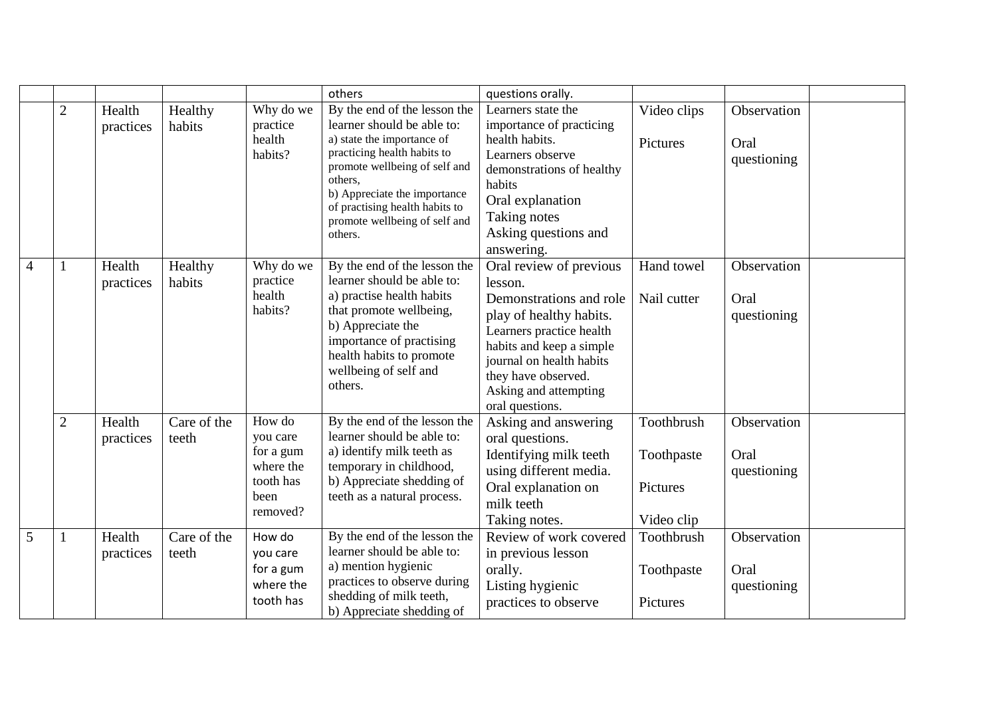|   |                |                     |                      |                                                                               | others                                                                                                                                                                                                                                                                            | questions orally.                                                                                                                                                                                                                               |                                                    |                                    |
|---|----------------|---------------------|----------------------|-------------------------------------------------------------------------------|-----------------------------------------------------------------------------------------------------------------------------------------------------------------------------------------------------------------------------------------------------------------------------------|-------------------------------------------------------------------------------------------------------------------------------------------------------------------------------------------------------------------------------------------------|----------------------------------------------------|------------------------------------|
|   | $\overline{2}$ | Health<br>practices | Healthy<br>habits    | Why do we<br>practice<br>health<br>habits?                                    | By the end of the lesson the<br>learner should be able to:<br>a) state the importance of<br>practicing health habits to<br>promote wellbeing of self and<br>others,<br>b) Appreciate the importance<br>of practising health habits to<br>promote wellbeing of self and<br>others. | Learners state the<br>importance of practicing<br>health habits.<br>Learners observe<br>demonstrations of healthy<br>habits<br>Oral explanation<br>Taking notes<br>Asking questions and<br>answering.                                           | Video clips<br>Pictures                            | Observation<br>Oral<br>questioning |
| 4 | $\mathbf{1}$   | Health<br>practices | Healthy<br>habits    | Why do we<br>practice<br>health<br>habits?                                    | By the end of the lesson the<br>learner should be able to:<br>a) practise health habits<br>that promote wellbeing,<br>b) Appreciate the<br>importance of practising<br>health habits to promote<br>wellbeing of self and<br>others.                                               | Oral review of previous<br>lesson.<br>Demonstrations and role<br>play of healthy habits.<br>Learners practice health<br>habits and keep a simple<br>journal on health habits<br>they have observed.<br>Asking and attempting<br>oral questions. | Hand towel<br>Nail cutter                          | Observation<br>Oral<br>questioning |
|   | $\mathbf{2}$   | Health<br>practices | Care of the<br>teeth | How do<br>you care<br>for a gum<br>where the<br>tooth has<br>been<br>removed? | By the end of the lesson the<br>learner should be able to:<br>a) identify milk teeth as<br>temporary in childhood,<br>b) Appreciate shedding of<br>teeth as a natural process.                                                                                                    | Asking and answering<br>oral questions.<br>Identifying milk teeth<br>using different media.<br>Oral explanation on<br>milk teeth<br>Taking notes.                                                                                               | Toothbrush<br>Toothpaste<br>Pictures<br>Video clip | Observation<br>Oral<br>questioning |
| 5 |                | Health<br>practices | Care of the<br>teeth | How do<br>you care<br>for a gum<br>where the<br>tooth has                     | By the end of the lesson the<br>learner should be able to:<br>a) mention hygienic<br>practices to observe during<br>shedding of milk teeth,<br>b) Appreciate shedding of                                                                                                          | Review of work covered<br>in previous lesson<br>orally.<br>Listing hygienic<br>practices to observe                                                                                                                                             | Toothbrush<br>Toothpaste<br>Pictures               | Observation<br>Oral<br>questioning |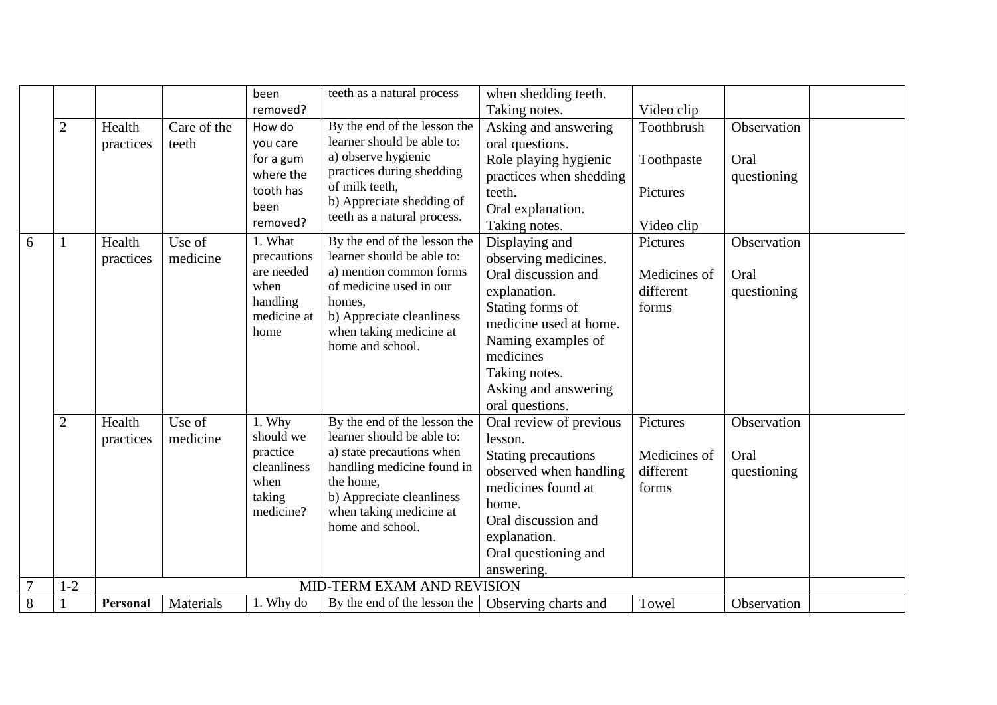|                |                |           |             | been                | teeth as a natural process                                 | when shedding teeth.                                 |              |             |
|----------------|----------------|-----------|-------------|---------------------|------------------------------------------------------------|------------------------------------------------------|--------------|-------------|
|                |                |           |             | removed?            |                                                            | Taking notes.                                        | Video clip   |             |
|                | $\mathbf{2}$   | Health    | Care of the | How do              | By the end of the lesson the                               | Asking and answering                                 | Toothbrush   | Observation |
|                |                | practices | teeth       | you care            | learner should be able to:                                 | oral questions.                                      |              |             |
|                |                |           |             | for a gum           | a) observe hygienic                                        | Role playing hygienic                                | Toothpaste   | Oral        |
|                |                |           |             | where the           | practices during shedding                                  | practices when shedding                              |              | questioning |
|                |                |           |             | tooth has           | of milk teeth,<br>b) Appreciate shedding of                | teeth.                                               | Pictures     |             |
|                |                |           |             | been                | teeth as a natural process.                                | Oral explanation.                                    |              |             |
|                |                |           |             | removed?            |                                                            | Taking notes.                                        | Video clip   |             |
| 6              | $\mathbf{1}$   | Health    | Use of      | 1. What             | By the end of the lesson the                               | Displaying and                                       | Pictures     | Observation |
|                |                | practices | medicine    | precautions         | learner should be able to:                                 | observing medicines.                                 |              |             |
|                |                |           |             | are needed          | a) mention common forms                                    | Oral discussion and                                  | Medicines of | Oral        |
|                |                |           |             | when<br>handling    | of medicine used in our<br>homes,                          | explanation.                                         | different    | questioning |
|                |                |           |             | medicine at         | b) Appreciate cleanliness                                  | Stating forms of                                     | forms        |             |
|                |                |           |             | home                | when taking medicine at                                    | medicine used at home.                               |              |             |
|                |                |           |             |                     | home and school.                                           | Naming examples of                                   |              |             |
|                |                |           |             |                     |                                                            | medicines                                            |              |             |
|                |                |           |             |                     |                                                            | Taking notes.                                        |              |             |
|                |                |           |             |                     |                                                            | Asking and answering                                 |              |             |
|                |                |           |             |                     |                                                            | oral questions.                                      |              |             |
|                | $\overline{2}$ | Health    | Use of      | 1. Why<br>should we | By the end of the lesson the<br>learner should be able to: | Oral review of previous                              | Pictures     | Observation |
|                |                | practices | medicine    | practice            | a) state precautions when                                  | lesson.                                              | Medicines of | Oral        |
|                |                |           |             | cleanliness         | handling medicine found in                                 | <b>Stating precautions</b><br>observed when handling | different    |             |
|                |                |           |             | when                | the home,                                                  | medicines found at                                   | forms        | questioning |
|                |                |           |             | taking              | b) Appreciate cleanliness                                  | home.                                                |              |             |
|                |                |           |             | medicine?           | when taking medicine at                                    | Oral discussion and                                  |              |             |
|                |                |           |             |                     | home and school.                                           | explanation.                                         |              |             |
|                |                |           |             |                     |                                                            | Oral questioning and                                 |              |             |
|                |                |           |             |                     |                                                            | answering.                                           |              |             |
| $\overline{7}$ | $1 - 2$        |           |             |                     | MID-TERM EXAM AND REVISION                                 |                                                      |              |             |
| $\overline{8}$ |                | Personal  | Materials   | 1. Why do           | By the end of the lesson the                               | Observing charts and                                 | Towel        | Observation |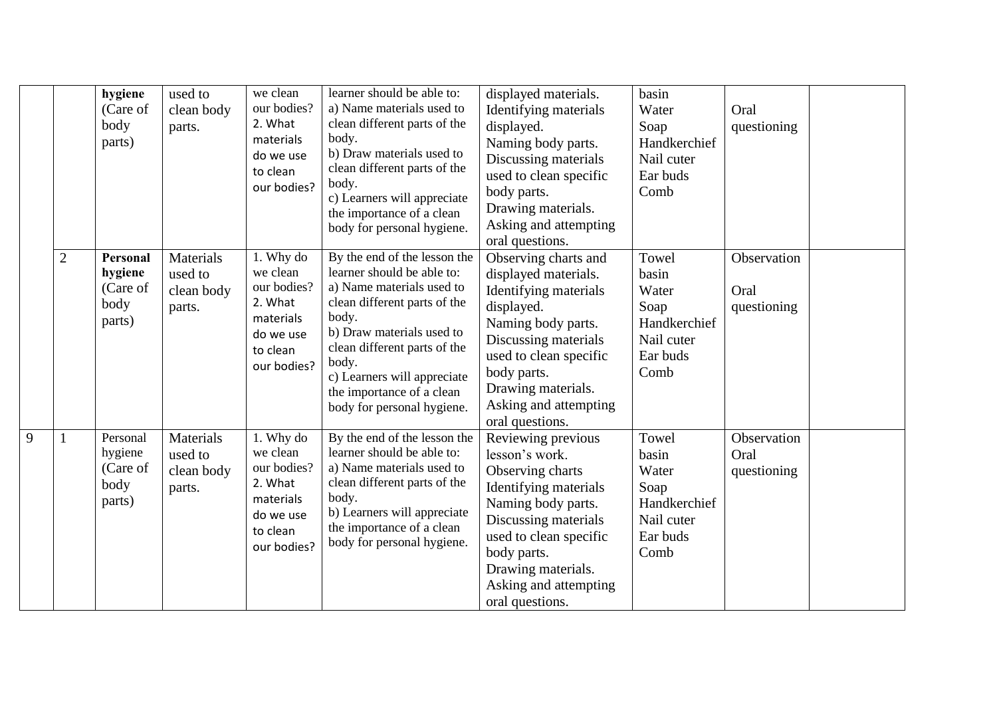|   |                | hygiene<br>(Care of<br>body<br>parts)             | used to<br>clean body<br>parts.              | we clean<br>our bodies?<br>2. What<br>materials<br>do we use<br>to clean<br>our bodies?              | learner should be able to:<br>a) Name materials used to<br>clean different parts of the<br>body.<br>b) Draw materials used to<br>clean different parts of the<br>body.<br>c) Learners will appreciate<br>the importance of a clean<br>body for personal hygiene.                                 | displayed materials.<br>Identifying materials<br>displayed.<br>Naming body parts.<br>Discussing materials<br>used to clean specific<br>body parts.<br>Drawing materials.<br>Asking and attempting<br>oral questions.                         | basin<br>Water<br>Soap<br>Handkerchief<br>Nail cuter<br>Ear buds<br>Comb          | Oral<br>questioning                |  |
|---|----------------|---------------------------------------------------|----------------------------------------------|------------------------------------------------------------------------------------------------------|--------------------------------------------------------------------------------------------------------------------------------------------------------------------------------------------------------------------------------------------------------------------------------------------------|----------------------------------------------------------------------------------------------------------------------------------------------------------------------------------------------------------------------------------------------|-----------------------------------------------------------------------------------|------------------------------------|--|
|   | $\overline{2}$ | Personal<br>hygiene<br>(Care of<br>body<br>parts) | Materials<br>used to<br>clean body<br>parts. | 1. Why do<br>we clean<br>our bodies?<br>2. What<br>materials<br>do we use<br>to clean<br>our bodies? | By the end of the lesson the<br>learner should be able to:<br>a) Name materials used to<br>clean different parts of the<br>body.<br>b) Draw materials used to<br>clean different parts of the<br>body.<br>c) Learners will appreciate<br>the importance of a clean<br>body for personal hygiene. | Observing charts and<br>displayed materials.<br>Identifying materials<br>displayed.<br>Naming body parts.<br>Discussing materials<br>used to clean specific<br>body parts.<br>Drawing materials.<br>Asking and attempting<br>oral questions. | Towel<br>basin<br>Water<br>Soap<br>Handkerchief<br>Nail cuter<br>Ear buds<br>Comb | Observation<br>Oral<br>questioning |  |
| 9 |                | Personal<br>hygiene<br>(Care of<br>body<br>parts) | Materials<br>used to<br>clean body<br>parts. | 1. Why do<br>we clean<br>our bodies?<br>2. What<br>materials<br>do we use<br>to clean<br>our bodies? | By the end of the lesson the<br>learner should be able to:<br>a) Name materials used to<br>clean different parts of the<br>body.<br>b) Learners will appreciate<br>the importance of a clean<br>body for personal hygiene.                                                                       | Reviewing previous<br>lesson's work.<br>Observing charts<br>Identifying materials<br>Naming body parts.<br>Discussing materials<br>used to clean specific<br>body parts.<br>Drawing materials.<br>Asking and attempting<br>oral questions.   | Towel<br>basin<br>Water<br>Soap<br>Handkerchief<br>Nail cuter<br>Ear buds<br>Comb | Observation<br>Oral<br>questioning |  |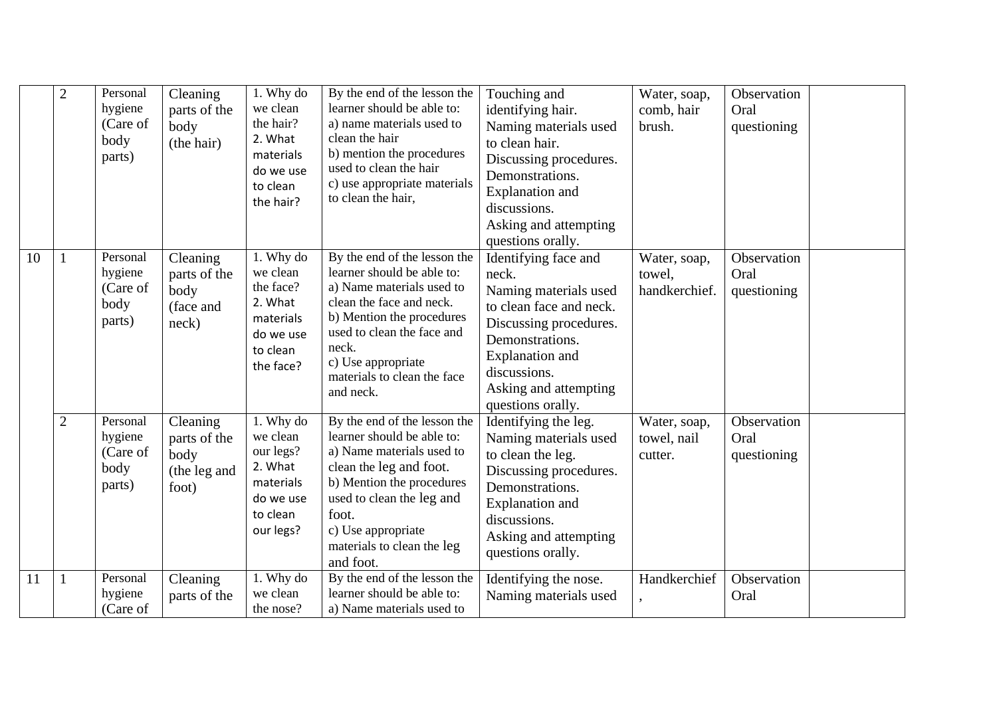|               | $\overline{2}$ | Personal<br>hygiene<br>(Care of<br>body<br>parts) | Cleaning<br>parts of the<br>body<br>(the hair)            | 1. Why do<br>we clean<br>the hair?<br>2. What<br>materials<br>do we use<br>to clean<br>the hair? | By the end of the lesson the<br>learner should be able to:<br>a) name materials used to<br>clean the hair<br>b) mention the procedures<br>used to clean the hair<br>c) use appropriate materials<br>to clean the hair,                                    | Touching and<br>identifying hair.<br>Naming materials used<br>to clean hair.<br>Discussing procedures.<br>Demonstrations.<br><b>Explanation</b> and<br>discussions.<br>Asking and attempting<br>questions orally.      | Water, soap,<br>comb, hair<br>brush.    | Observation<br>Oral<br>questioning |  |
|---------------|----------------|---------------------------------------------------|-----------------------------------------------------------|--------------------------------------------------------------------------------------------------|-----------------------------------------------------------------------------------------------------------------------------------------------------------------------------------------------------------------------------------------------------------|------------------------------------------------------------------------------------------------------------------------------------------------------------------------------------------------------------------------|-----------------------------------------|------------------------------------|--|
| 10            |                | Personal<br>hygiene<br>(Care of<br>body<br>parts) | Cleaning<br>parts of the<br>body<br>(face and<br>neck)    | 1. Why do<br>we clean<br>the face?<br>2. What<br>materials<br>do we use<br>to clean<br>the face? | By the end of the lesson the<br>learner should be able to:<br>a) Name materials used to<br>clean the face and neck.<br>b) Mention the procedures<br>used to clean the face and<br>neck.<br>c) Use appropriate<br>materials to clean the face<br>and neck. | Identifying face and<br>neck.<br>Naming materials used<br>to clean face and neck.<br>Discussing procedures.<br>Demonstrations.<br><b>Explanation</b> and<br>discussions.<br>Asking and attempting<br>questions orally. | Water, soap,<br>towel,<br>handkerchief. | Observation<br>Oral<br>questioning |  |
|               | $\overline{2}$ | Personal<br>hygiene<br>(Care of<br>body<br>parts) | Cleaning<br>parts of the<br>body<br>(the leg and<br>foot) | 1. Why do<br>we clean<br>our legs?<br>2. What<br>materials<br>do we use<br>to clean<br>our legs? | By the end of the lesson the<br>learner should be able to:<br>a) Name materials used to<br>clean the leg and foot.<br>b) Mention the procedures<br>used to clean the leg and<br>foot.<br>c) Use appropriate<br>materials to clean the leg<br>and foot.    | Identifying the leg.<br>Naming materials used<br>to clean the leg.<br>Discussing procedures.<br>Demonstrations.<br><b>Explanation</b> and<br>discussions.<br>Asking and attempting<br>questions orally.                | Water, soap,<br>towel, nail<br>cutter.  | Observation<br>Oral<br>questioning |  |
| <sup>11</sup> |                | Personal<br>hygiene<br>(Care of                   | Cleaning<br>parts of the                                  | 1. Why do<br>we clean<br>the nose?                                                               | By the end of the lesson the<br>learner should be able to:<br>a) Name materials used to                                                                                                                                                                   | Identifying the nose.<br>Naming materials used                                                                                                                                                                         | Handkerchief                            | Observation<br>Oral                |  |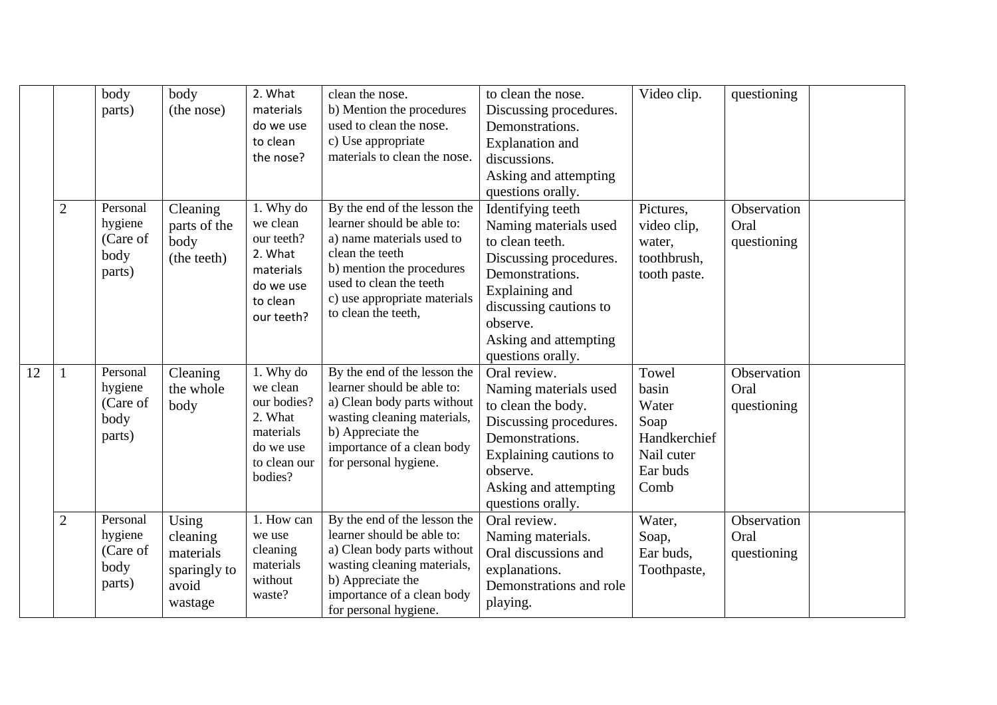|    |                | body<br>parts)                                    | body<br>(the nose)                                                 | 2. What<br>materials<br>do we use<br>to clean<br>the nose?                                           | clean the nose.<br>b) Mention the procedures<br>used to clean the nose.<br>c) Use appropriate<br>materials to clean the nose.                                                                                             | to clean the nose.<br>Discussing procedures.<br>Demonstrations.<br><b>Explanation</b> and<br>discussions.<br>Asking and attempting<br>questions orally.                                                          | Video clip.                                                                       | questioning                        |  |
|----|----------------|---------------------------------------------------|--------------------------------------------------------------------|------------------------------------------------------------------------------------------------------|---------------------------------------------------------------------------------------------------------------------------------------------------------------------------------------------------------------------------|------------------------------------------------------------------------------------------------------------------------------------------------------------------------------------------------------------------|-----------------------------------------------------------------------------------|------------------------------------|--|
|    | $\overline{2}$ | Personal<br>hygiene<br>(Care of<br>body<br>parts) | Cleaning<br>parts of the<br>body<br>(the teeth)                    | 1. Why do<br>we clean<br>our teeth?<br>2. What<br>materials<br>do we use<br>to clean<br>our teeth?   | By the end of the lesson the<br>learner should be able to:<br>a) name materials used to<br>clean the teeth<br>b) mention the procedures<br>used to clean the teeth<br>c) use appropriate materials<br>to clean the teeth, | Identifying teeth<br>Naming materials used<br>to clean teeth.<br>Discussing procedures.<br>Demonstrations.<br>Explaining and<br>discussing cautions to<br>observe.<br>Asking and attempting<br>questions orally. | Pictures,<br>video clip,<br>water,<br>toothbrush,<br>tooth paste.                 | Observation<br>Oral<br>questioning |  |
| 12 |                | Personal<br>hygiene<br>(Care of<br>body<br>parts) | Cleaning<br>the whole<br>body                                      | 1. Why do<br>we clean<br>our bodies?<br>2. What<br>materials<br>do we use<br>to clean our<br>bodies? | By the end of the lesson the<br>learner should be able to:<br>a) Clean body parts without<br>wasting cleaning materials,<br>b) Appreciate the<br>importance of a clean body<br>for personal hygiene.                      | Oral review.<br>Naming materials used<br>to clean the body.<br>Discussing procedures.<br>Demonstrations.<br>Explaining cautions to<br>observe.<br>Asking and attempting<br>questions orally.                     | Towel<br>basin<br>Water<br>Soap<br>Handkerchief<br>Nail cuter<br>Ear buds<br>Comb | Observation<br>Oral<br>questioning |  |
|    | $\overline{2}$ | Personal<br>hygiene<br>(Care of<br>body<br>parts) | Using<br>cleaning<br>materials<br>sparingly to<br>avoid<br>wastage | 1. How can<br>we use<br>cleaning<br>materials<br>without<br>waste?                                   | By the end of the lesson the<br>learner should be able to:<br>a) Clean body parts without<br>wasting cleaning materials,<br>b) Appreciate the<br>importance of a clean body<br>for personal hygiene.                      | Oral review.<br>Naming materials.<br>Oral discussions and<br>explanations.<br>Demonstrations and role<br>playing.                                                                                                | Water,<br>Soap,<br>Ear buds,<br>Toothpaste,                                       | Observation<br>Oral<br>questioning |  |